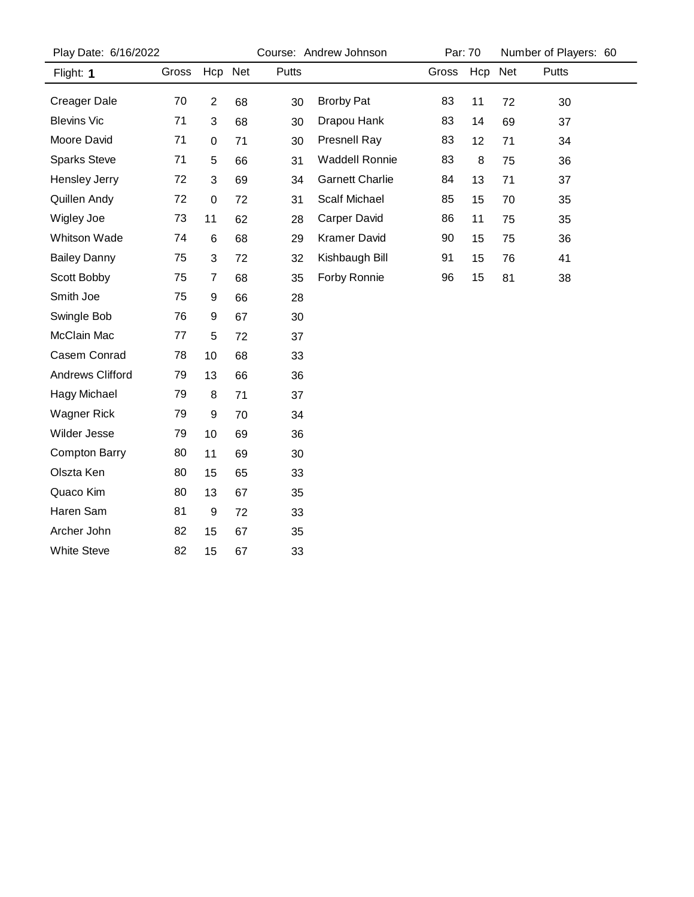| Play Date: 6/16/2022 |       |                |    | Course: Andrew Johnson |                        |       | Par: 70 |    | Number of Players: 60 |  |
|----------------------|-------|----------------|----|------------------------|------------------------|-------|---------|----|-----------------------|--|
| Flight: 1            | Gross | Hcp Net        |    | Putts                  |                        | Gross | Hcp Net |    | Putts                 |  |
| <b>Creager Dale</b>  | 70    | $\overline{2}$ | 68 | 30                     | <b>Brorby Pat</b>      | 83    | 11      | 72 | 30                    |  |
| <b>Blevins Vic</b>   | 71    | 3              | 68 | 30                     | Drapou Hank            | 83    | 14      | 69 | 37                    |  |
| Moore David          | 71    | $\pmb{0}$      | 71 | 30                     | <b>Presnell Ray</b>    | 83    | 12      | 71 | 34                    |  |
| <b>Sparks Steve</b>  | 71    | 5              | 66 | 31                     | <b>Waddell Ronnie</b>  | 83    | 8       | 75 | 36                    |  |
| Hensley Jerry        | 72    | 3              | 69 | 34                     | <b>Garnett Charlie</b> | 84    | 13      | 71 | 37                    |  |
| Quillen Andy         | 72    | $\pmb{0}$      | 72 | 31                     | <b>Scalf Michael</b>   | 85    | 15      | 70 | 35                    |  |
| Wigley Joe           | 73    | 11             | 62 | 28                     | Carper David           | 86    | 11      | 75 | 35                    |  |
| <b>Whitson Wade</b>  | 74    | 6              | 68 | 29                     | Kramer David           | 90    | 15      | 75 | 36                    |  |
| <b>Bailey Danny</b>  | 75    | 3              | 72 | 32                     | Kishbaugh Bill         | 91    | 15      | 76 | 41                    |  |
| Scott Bobby          | 75    | 7              | 68 | 35                     | Forby Ronnie           | 96    | 15      | 81 | 38                    |  |
| Smith Joe            | 75    | 9              | 66 | 28                     |                        |       |         |    |                       |  |
| Swingle Bob          | 76    | 9              | 67 | 30                     |                        |       |         |    |                       |  |
| McClain Mac          | 77    | 5              | 72 | 37                     |                        |       |         |    |                       |  |
| Casem Conrad         | 78    | 10             | 68 | 33                     |                        |       |         |    |                       |  |
| Andrews Clifford     | 79    | 13             | 66 | 36                     |                        |       |         |    |                       |  |
| <b>Hagy Michael</b>  | 79    | 8              | 71 | 37                     |                        |       |         |    |                       |  |
| <b>Wagner Rick</b>   | 79    | 9              | 70 | 34                     |                        |       |         |    |                       |  |
| Wilder Jesse         | 79    | 10             | 69 | 36                     |                        |       |         |    |                       |  |
| <b>Compton Barry</b> | 80    | 11             | 69 | 30                     |                        |       |         |    |                       |  |
| Olszta Ken           | 80    | 15             | 65 | 33                     |                        |       |         |    |                       |  |
| Quaco Kim            | 80    | 13             | 67 | 35                     |                        |       |         |    |                       |  |
| Haren Sam            | 81    | 9              | 72 | 33                     |                        |       |         |    |                       |  |
| Archer John          | 82    | 15             | 67 | 35                     |                        |       |         |    |                       |  |
| <b>White Steve</b>   | 82    | 15             | 67 | 33                     |                        |       |         |    |                       |  |